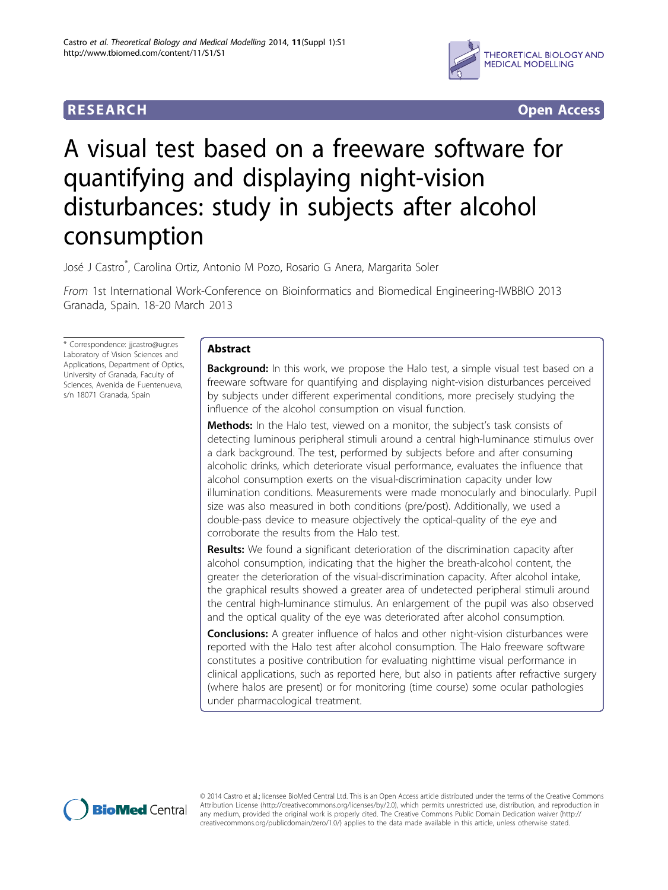



# A visual test based on a freeware software for quantifying and displaying night-vision disturbances: study in subjects after alcohol consumption

José J Castro\* , Carolina Ortiz, Antonio M Pozo, Rosario G Anera, Margarita Soler

From 1st International Work-Conference on Bioinformatics and Biomedical Engineering-IWBBIO 2013 Granada, Spain. 18-20 March 2013

\* Correspondence: [jjcastro@ugr.es](mailto:jjcastro@ugr.es) Laboratory of Vision Sciences and Applications, Department of Optics, University of Granada, Faculty of Sciences, Avenida de Fuentenueva, s/n 18071 Granada, Spain

# Abstract

**Background:** In this work, we propose the Halo test, a simple visual test based on a freeware software for quantifying and displaying night-vision disturbances perceived by subjects under different experimental conditions, more precisely studying the influence of the alcohol consumption on visual function.

Methods: In the Halo test, viewed on a monitor, the subject's task consists of detecting luminous peripheral stimuli around a central high-luminance stimulus over a dark background. The test, performed by subjects before and after consuming alcoholic drinks, which deteriorate visual performance, evaluates the influence that alcohol consumption exerts on the visual-discrimination capacity under low illumination conditions. Measurements were made monocularly and binocularly. Pupil size was also measured in both conditions (pre/post). Additionally, we used a double-pass device to measure objectively the optical-quality of the eye and corroborate the results from the Halo test.

**Results:** We found a significant deterioration of the discrimination capacity after alcohol consumption, indicating that the higher the breath-alcohol content, the greater the deterioration of the visual-discrimination capacity. After alcohol intake, the graphical results showed a greater area of undetected peripheral stimuli around the central high-luminance stimulus. An enlargement of the pupil was also observed and the optical quality of the eye was deteriorated after alcohol consumption.

**Conclusions:** A greater influence of halos and other night-vision disturbances were reported with the Halo test after alcohol consumption. The Halo freeware software constitutes a positive contribution for evaluating nighttime visual performance in clinical applications, such as reported here, but also in patients after refractive surgery (where halos are present) or for monitoring (time course) some ocular pathologies under pharmacological treatment.



© 2014 Castro et al.; licensee BioMed Central Ltd. This is an Open Access article distributed under the terms of the Creative Commons Attribution License [\(http://creativecommons.org/licenses/by/2.0](http://creativecommons.org/licenses/by/2.0)), which permits unrestricted use, distribution, and reproduction in any medium, provided the original work is properly cited. The Creative Commons Public Domain Dedication waiver [\(http://](http://creativecommons.org/publicdomain/zero/1.0/) [creativecommons.org/publicdomain/zero/1.0/](http://creativecommons.org/publicdomain/zero/1.0/)) applies to the data made available in this article, unless otherwise stated.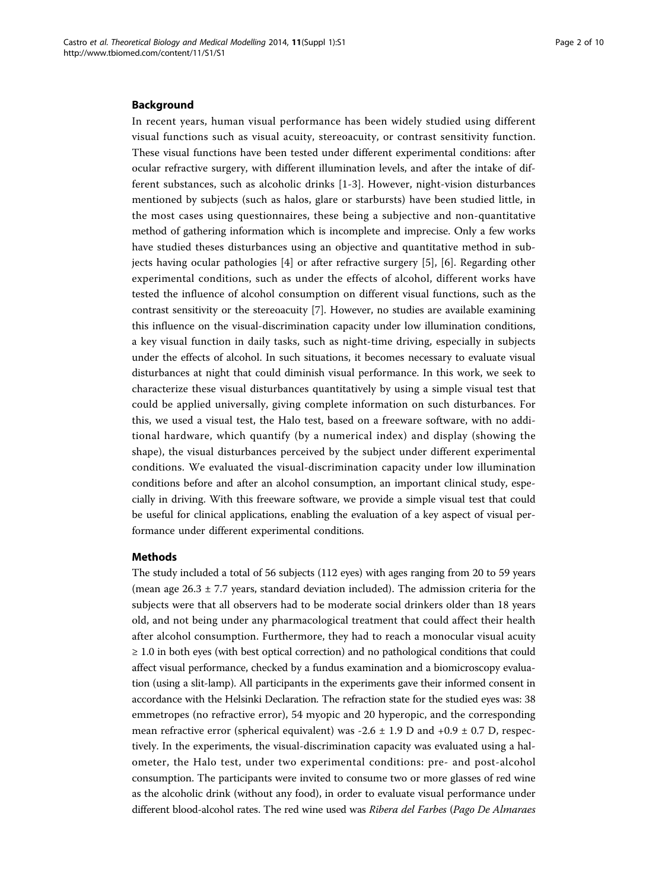## Background

In recent years, human visual performance has been widely studied using different visual functions such as visual acuity, stereoacuity, or contrast sensitivity function. These visual functions have been tested under different experimental conditions: after ocular refractive surgery, with different illumination levels, and after the intake of different substances, such as alcoholic drinks [\[1](#page-9-0)-[3](#page-9-0)]. However, night-vision disturbances mentioned by subjects (such as halos, glare or starbursts) have been studied little, in the most cases using questionnaires, these being a subjective and non-quantitative method of gathering information which is incomplete and imprecise. Only a few works have studied theses disturbances using an objective and quantitative method in subjects having ocular pathologies [[4\]](#page-9-0) or after refractive surgery [\[5](#page-9-0)], [[6\]](#page-9-0). Regarding other experimental conditions, such as under the effects of alcohol, different works have tested the influence of alcohol consumption on different visual functions, such as the contrast sensitivity or the stereoacuity [[7\]](#page-9-0). However, no studies are available examining this influence on the visual-discrimination capacity under low illumination conditions, a key visual function in daily tasks, such as night-time driving, especially in subjects under the effects of alcohol. In such situations, it becomes necessary to evaluate visual disturbances at night that could diminish visual performance. In this work, we seek to characterize these visual disturbances quantitatively by using a simple visual test that could be applied universally, giving complete information on such disturbances. For this, we used a visual test, the Halo test, based on a freeware software, with no additional hardware, which quantify (by a numerical index) and display (showing the shape), the visual disturbances perceived by the subject under different experimental conditions. We evaluated the visual-discrimination capacity under low illumination conditions before and after an alcohol consumption, an important clinical study, especially in driving. With this freeware software, we provide a simple visual test that could be useful for clinical applications, enabling the evaluation of a key aspect of visual performance under different experimental conditions.

# Methods

The study included a total of 56 subjects (112 eyes) with ages ranging from 20 to 59 years (mean age  $26.3 \pm 7.7$  years, standard deviation included). The admission criteria for the subjects were that all observers had to be moderate social drinkers older than 18 years old, and not being under any pharmacological treatment that could affect their health after alcohol consumption. Furthermore, they had to reach a monocular visual acuity ≥ 1.0 in both eyes (with best optical correction) and no pathological conditions that could affect visual performance, checked by a fundus examination and a biomicroscopy evaluation (using a slit-lamp). All participants in the experiments gave their informed consent in accordance with the Helsinki Declaration. The refraction state for the studied eyes was: 38 emmetropes (no refractive error), 54 myopic and 20 hyperopic, and the corresponding mean refractive error (spherical equivalent) was -2.6  $\pm$  1.9 D and +0.9  $\pm$  0.7 D, respectively. In the experiments, the visual-discrimination capacity was evaluated using a halometer, the Halo test, under two experimental conditions: pre- and post-alcohol consumption. The participants were invited to consume two or more glasses of red wine as the alcoholic drink (without any food), in order to evaluate visual performance under different blood-alcohol rates. The red wine used was Ribera del Farbes (Pago De Almaraes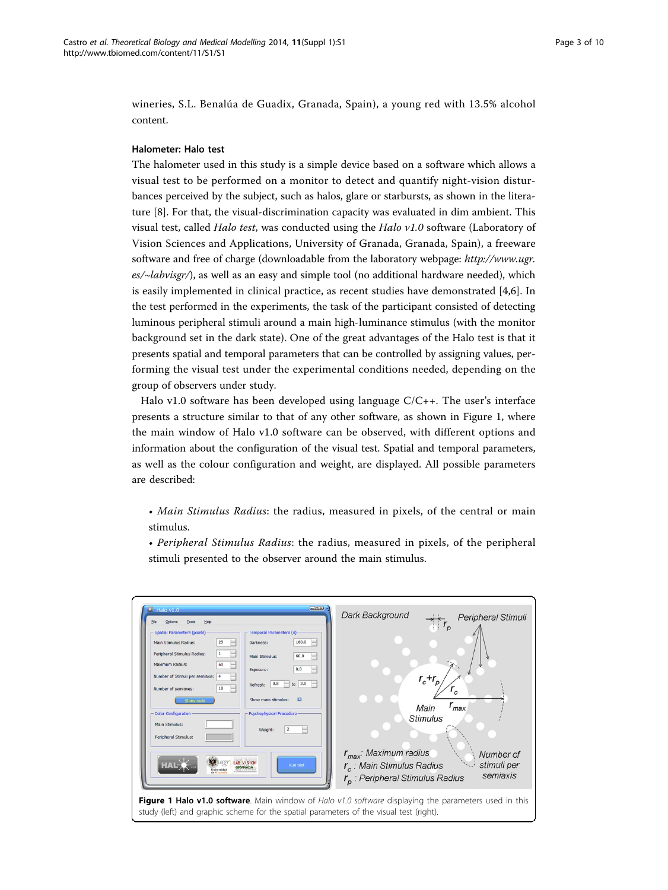wineries, S.L. Benalúa de Guadix, Granada, Spain), a young red with 13.5% alcohol content.

## Halometer: Halo test

The halometer used in this study is a simple device based on a software which allows a visual test to be performed on a monitor to detect and quantify night-vision disturbances perceived by the subject, such as halos, glare or starbursts, as shown in the literature [\[8](#page-9-0)]. For that, the visual-discrimination capacity was evaluated in dim ambient. This visual test, called Halo test, was conducted using the Halo v1.0 software (Laboratory of Vision Sciences and Applications, University of Granada, Granada, Spain), a freeware software and free of charge (downloadable from the laboratory webpage: http://www.ugr.  $es/$ -labvisgr $\land$ , as well as an easy and simple tool (no additional hardware needed), which is easily implemented in clinical practice, as recent studies have demonstrated [\[4](#page-9-0),[6\]](#page-9-0). In the test performed in the experiments, the task of the participant consisted of detecting luminous peripheral stimuli around a main high-luminance stimulus (with the monitor background set in the dark state). One of the great advantages of the Halo test is that it presents spatial and temporal parameters that can be controlled by assigning values, performing the visual test under the experimental conditions needed, depending on the group of observers under study.

Halo v1.0 software has been developed using language  $C/C++$ . The user's interface presents a structure similar to that of any other software, as shown in Figure 1, where the main window of Halo v1.0 software can be observed, with different options and information about the configuration of the visual test. Spatial and temporal parameters, as well as the colour configuration and weight, are displayed. All possible parameters are described:

- Main Stimulus Radius: the radius, measured in pixels, of the central or main stimulus.
- Peripheral Stimulus Radius: the radius, measured in pixels, of the peripheral stimuli presented to the observer around the main stimulus.

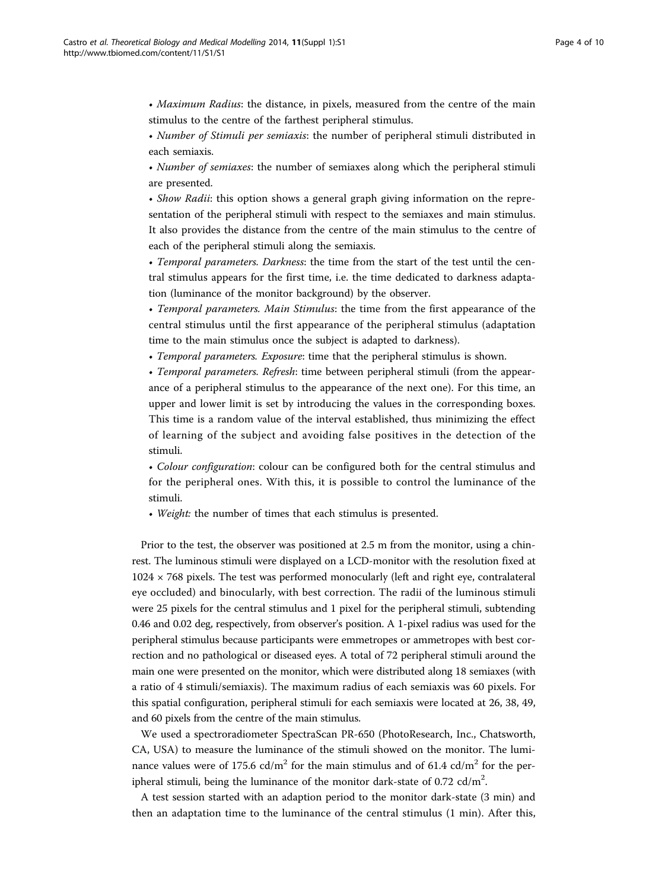• *Maximum Radius*: the distance, in pixels, measured from the centre of the main stimulus to the centre of the farthest peripheral stimulus.

• *Number of Stimuli per semiaxis*: the number of peripheral stimuli distributed in each semiaxis.

• *Number of semiaxes*: the number of semiaxes along which the peripheral stimuli are presented.

• Show Radii: this option shows a general graph giving information on the representation of the peripheral stimuli with respect to the semiaxes and main stimulus. It also provides the distance from the centre of the main stimulus to the centre of each of the peripheral stimuli along the semiaxis.

• Temporal parameters. Darkness: the time from the start of the test until the central stimulus appears for the first time, i.e. the time dedicated to darkness adaptation (luminance of the monitor background) by the observer.

• Temporal parameters. Main Stimulus: the time from the first appearance of the central stimulus until the first appearance of the peripheral stimulus (adaptation time to the main stimulus once the subject is adapted to darkness).

• Temporal parameters. Exposure: time that the peripheral stimulus is shown.

• Temporal parameters. Refresh: time between peripheral stimuli (from the appearance of a peripheral stimulus to the appearance of the next one). For this time, an upper and lower limit is set by introducing the values in the corresponding boxes. This time is a random value of the interval established, thus minimizing the effect of learning of the subject and avoiding false positives in the detection of the stimuli.

• Colour configuration: colour can be configured both for the central stimulus and for the peripheral ones. With this, it is possible to control the luminance of the stimuli.

• Weight: the number of times that each stimulus is presented.

Prior to the test, the observer was positioned at 2.5 m from the monitor, using a chinrest. The luminous stimuli were displayed on a LCD-monitor with the resolution fixed at  $1024 \times 768$  pixels. The test was performed monocularly (left and right eye, contralateral eye occluded) and binocularly, with best correction. The radii of the luminous stimuli were 25 pixels for the central stimulus and 1 pixel for the peripheral stimuli, subtending 0.46 and 0.02 deg, respectively, from observer's position. A 1-pixel radius was used for the peripheral stimulus because participants were emmetropes or ammetropes with best correction and no pathological or diseased eyes. A total of 72 peripheral stimuli around the main one were presented on the monitor, which were distributed along 18 semiaxes (with a ratio of 4 stimuli/semiaxis). The maximum radius of each semiaxis was 60 pixels. For this spatial configuration, peripheral stimuli for each semiaxis were located at 26, 38, 49, and 60 pixels from the centre of the main stimulus.

We used a spectroradiometer SpectraScan PR-650 (PhotoResearch, Inc., Chatsworth, CA, USA) to measure the luminance of the stimuli showed on the monitor. The luminance values were of 175.6 cd/m<sup>2</sup> for the main stimulus and of 61.4 cd/m<sup>2</sup> for the peripheral stimuli, being the luminance of the monitor dark-state of 0.72  $\text{cd/m}^2$ .

A test session started with an adaption period to the monitor dark-state (3 min) and then an adaptation time to the luminance of the central stimulus (1 min). After this,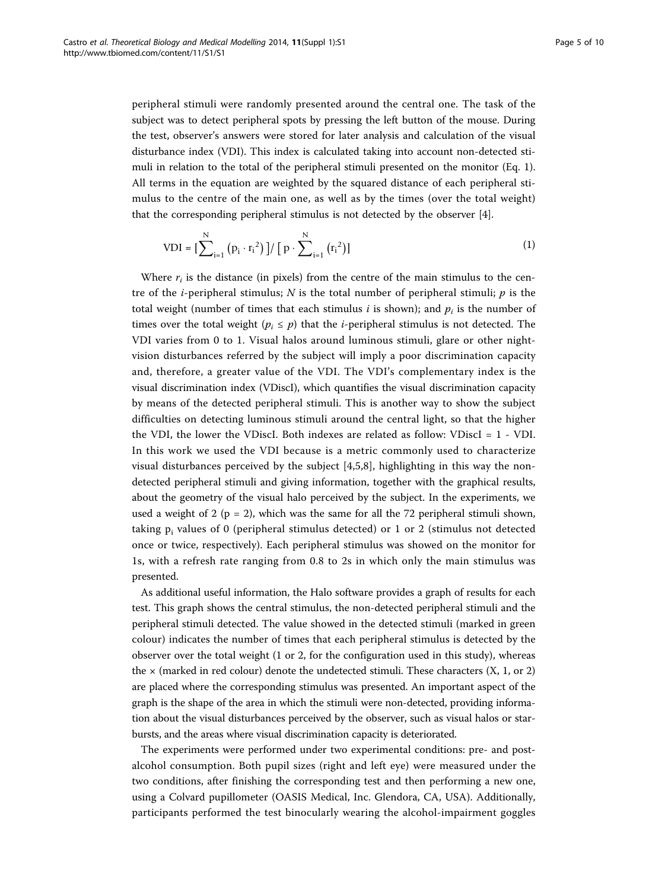peripheral stimuli were randomly presented around the central one. The task of the subject was to detect peripheral spots by pressing the left button of the mouse. During the test, observer's answers were stored for later analysis and calculation of the visual disturbance index (VDI). This index is calculated taking into account non-detected stimuli in relation to the total of the peripheral stimuli presented on the monitor (Eq. 1). All terms in the equation are weighted by the squared distance of each peripheral stimulus to the centre of the main one, as well as by the times (over the total weight) that the corresponding peripheral stimulus is not detected by the observer [\[4](#page-9-0)].

VDI = 
$$
\left[\sum_{i=1}^{N} (p_i \cdot r_i^2)\right] / [p \cdot \sum_{i=1}^{N} (r_i^2)]
$$
 (1)

Where  $r_i$  is the distance (in pixels) from the centre of the main stimulus to the centre of the *i*-peripheral stimulus; N is the total number of peripheral stimuli; p is the total weight (number of times that each stimulus  $i$  is shown); and  $p_i$  is the number of times over the total weight ( $p_i \leq p$ ) that the *i*-peripheral stimulus is not detected. The VDI varies from 0 to 1. Visual halos around luminous stimuli, glare or other nightvision disturbances referred by the subject will imply a poor discrimination capacity and, therefore, a greater value of the VDI. The VDI's complementary index is the visual discrimination index (VDiscI), which quantifies the visual discrimination capacity by means of the detected peripheral stimuli. This is another way to show the subject difficulties on detecting luminous stimuli around the central light, so that the higher the VDI, the lower the VDiscI. Both indexes are related as follow: VDiscI = 1 - VDI. In this work we used the VDI because is a metric commonly used to characterize visual disturbances perceived by the subject [[4,5,8](#page-9-0)], highlighting in this way the nondetected peripheral stimuli and giving information, together with the graphical results, about the geometry of the visual halo perceived by the subject. In the experiments, we used a weight of 2 (p = 2), which was the same for all the 72 peripheral stimuli shown, taking  $p_i$  values of 0 (peripheral stimulus detected) or 1 or 2 (stimulus not detected once or twice, respectively). Each peripheral stimulus was showed on the monitor for 1s, with a refresh rate ranging from 0.8 to 2s in which only the main stimulus was presented.

As additional useful information, the Halo software provides a graph of results for each test. This graph shows the central stimulus, the non-detected peripheral stimuli and the peripheral stimuli detected. The value showed in the detected stimuli (marked in green colour) indicates the number of times that each peripheral stimulus is detected by the observer over the total weight (1 or 2, for the configuration used in this study), whereas the  $\times$  (marked in red colour) denote the undetected stimuli. These characters  $(X, 1, 0r 2)$ are placed where the corresponding stimulus was presented. An important aspect of the graph is the shape of the area in which the stimuli were non-detected, providing information about the visual disturbances perceived by the observer, such as visual halos or starbursts, and the areas where visual discrimination capacity is deteriorated.

The experiments were performed under two experimental conditions: pre- and postalcohol consumption. Both pupil sizes (right and left eye) were measured under the two conditions, after finishing the corresponding test and then performing a new one, using a Colvard pupillometer (OASIS Medical, Inc. Glendora, CA, USA). Additionally, participants performed the test binocularly wearing the alcohol-impairment goggles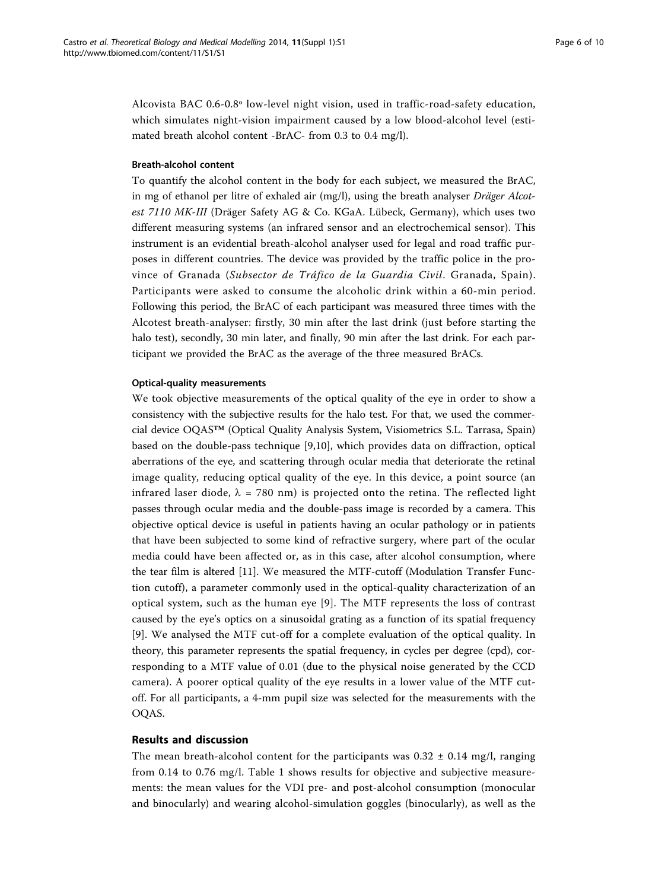Alcovista BAC 0.6-0.8º low-level night vision, used in traffic-road-safety education, which simulates night-vision impairment caused by a low blood-alcohol level (estimated breath alcohol content -BrAC- from 0.3 to 0.4 mg/l).

# Breath-alcohol content

To quantify the alcohol content in the body for each subject, we measured the BrAC, in mg of ethanol per litre of exhaled air (mg/l), using the breath analyser Dräger Alcotest 7110 MK-III (Dräger Safety AG & Co. KGaA. Lübeck, Germany), which uses two different measuring systems (an infrared sensor and an electrochemical sensor). This instrument is an evidential breath-alcohol analyser used for legal and road traffic purposes in different countries. The device was provided by the traffic police in the province of Granada (Subsector de Tráfico de la Guardia Civil. Granada, Spain). Participants were asked to consume the alcoholic drink within a 60-min period. Following this period, the BrAC of each participant was measured three times with the Alcotest breath-analyser: firstly, 30 min after the last drink (just before starting the halo test), secondly, 30 min later, and finally, 90 min after the last drink. For each participant we provided the BrAC as the average of the three measured BrACs.

# Optical-quality measurements

We took objective measurements of the optical quality of the eye in order to show a consistency with the subjective results for the halo test. For that, we used the commercial device OQAS™ (Optical Quality Analysis System, Visiometrics S.L. Tarrasa, Spain) based on the double-pass technique [\[9](#page-9-0),[10](#page-9-0)], which provides data on diffraction, optical aberrations of the eye, and scattering through ocular media that deteriorate the retinal image quality, reducing optical quality of the eye. In this device, a point source (an infrared laser diode,  $\lambda = 780$  nm) is projected onto the retina. The reflected light passes through ocular media and the double-pass image is recorded by a camera. This objective optical device is useful in patients having an ocular pathology or in patients that have been subjected to some kind of refractive surgery, where part of the ocular media could have been affected or, as in this case, after alcohol consumption, where the tear film is altered [[11\]](#page-9-0). We measured the MTF-cutoff (Modulation Transfer Function cutoff), a parameter commonly used in the optical-quality characterization of an optical system, such as the human eye [\[9](#page-9-0)]. The MTF represents the loss of contrast caused by the eye's optics on a sinusoidal grating as a function of its spatial frequency [[9\]](#page-9-0). We analysed the MTF cut-off for a complete evaluation of the optical quality. In theory, this parameter represents the spatial frequency, in cycles per degree (cpd), corresponding to a MTF value of 0.01 (due to the physical noise generated by the CCD camera). A poorer optical quality of the eye results in a lower value of the MTF cutoff. For all participants, a 4-mm pupil size was selected for the measurements with the OQAS.

# Results and discussion

The mean breath-alcohol content for the participants was  $0.32 \pm 0.14$  mg/l, ranging from 0.14 to 0.76 mg/l. Table [1](#page-6-0) shows results for objective and subjective measurements: the mean values for the VDI pre- and post-alcohol consumption (monocular and binocularly) and wearing alcohol-simulation goggles (binocularly), as well as the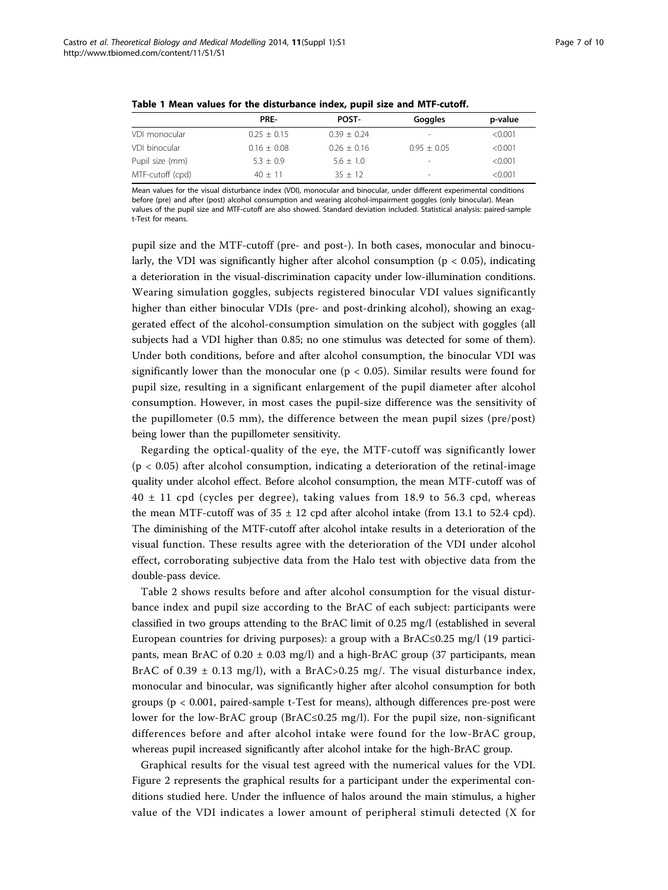| PRE-          | POST-         | Goggles                  | p-value |
|---------------|---------------|--------------------------|---------|
| $0.25 + 0.15$ | $0.39 + 0.24$ | $\overline{\phantom{a}}$ | < 0.001 |
| $0.16 + 0.08$ | $0.26 + 0.16$ | $0.95 \pm 0.05$          | < 0.001 |
| $5.3 + 0.9$   | $5.6 \pm 1.0$ | $\qquad \qquad$          | < 0.001 |
| $40 + 11$     | $35 + 12$     | $\overline{\phantom{a}}$ | < 0.001 |
|               |               |                          |         |

<span id="page-6-0"></span>Table 1 Mean values for the disturbance index, pupil size and MTF-cutoff.

Mean values for the visual disturbance index (VDI), monocular and binocular, under different experimental conditions before (pre) and after (post) alcohol consumption and wearing alcohol-impairment goggles (only binocular). Mean values of the pupil size and MTF-cutoff are also showed. Standard deviation included. Statistical analysis: paired-sample t-Test for means.

pupil size and the MTF-cutoff (pre- and post-). In both cases, monocular and binocularly, the VDI was significantly higher after alcohol consumption ( $p < 0.05$ ), indicating a deterioration in the visual-discrimination capacity under low-illumination conditions. Wearing simulation goggles, subjects registered binocular VDI values significantly higher than either binocular VDIs (pre- and post-drinking alcohol), showing an exaggerated effect of the alcohol-consumption simulation on the subject with goggles (all subjects had a VDI higher than 0.85; no one stimulus was detected for some of them). Under both conditions, before and after alcohol consumption, the binocular VDI was significantly lower than the monocular one ( $p < 0.05$ ). Similar results were found for pupil size, resulting in a significant enlargement of the pupil diameter after alcohol consumption. However, in most cases the pupil-size difference was the sensitivity of the pupillometer (0.5 mm), the difference between the mean pupil sizes (pre/post) being lower than the pupillometer sensitivity.

Regarding the optical-quality of the eye, the MTF-cutoff was significantly lower  $(p < 0.05)$  after alcohol consumption, indicating a deterioration of the retinal-image quality under alcohol effect. Before alcohol consumption, the mean MTF-cutoff was of 40 ± 11 cpd (cycles per degree), taking values from 18.9 to 56.3 cpd, whereas the mean MTF-cutoff was of  $35 \pm 12$  cpd after alcohol intake (from 13.1 to 52.4 cpd). The diminishing of the MTF-cutoff after alcohol intake results in a deterioration of the visual function. These results agree with the deterioration of the VDI under alcohol effect, corroborating subjective data from the Halo test with objective data from the double-pass device.

Table [2](#page-7-0) shows results before and after alcohol consumption for the visual disturbance index and pupil size according to the BrAC of each subject: participants were classified in two groups attending to the BrAC limit of 0.25 mg/l (established in several European countries for driving purposes): a group with a  $BrAC \leq 0.25$  mg/l (19 participants, mean BrAC of  $0.20 \pm 0.03$  mg/l) and a high-BrAC group (37 participants, mean BrAC of  $0.39 \pm 0.13$  mg/l), with a BrAC>0.25 mg/. The visual disturbance index, monocular and binocular, was significantly higher after alcohol consumption for both groups ( $p < 0.001$ , paired-sample t-Test for means), although differences pre-post were lower for the low-BrAC group (BrAC≤0.25 mg/l). For the pupil size, non-significant differences before and after alcohol intake were found for the low-BrAC group, whereas pupil increased significantly after alcohol intake for the high-BrAC group.

Graphical results for the visual test agreed with the numerical values for the VDI. Figure [2](#page-7-0) represents the graphical results for a participant under the experimental conditions studied here. Under the influence of halos around the main stimulus, a higher value of the VDI indicates a lower amount of peripheral stimuli detected (X for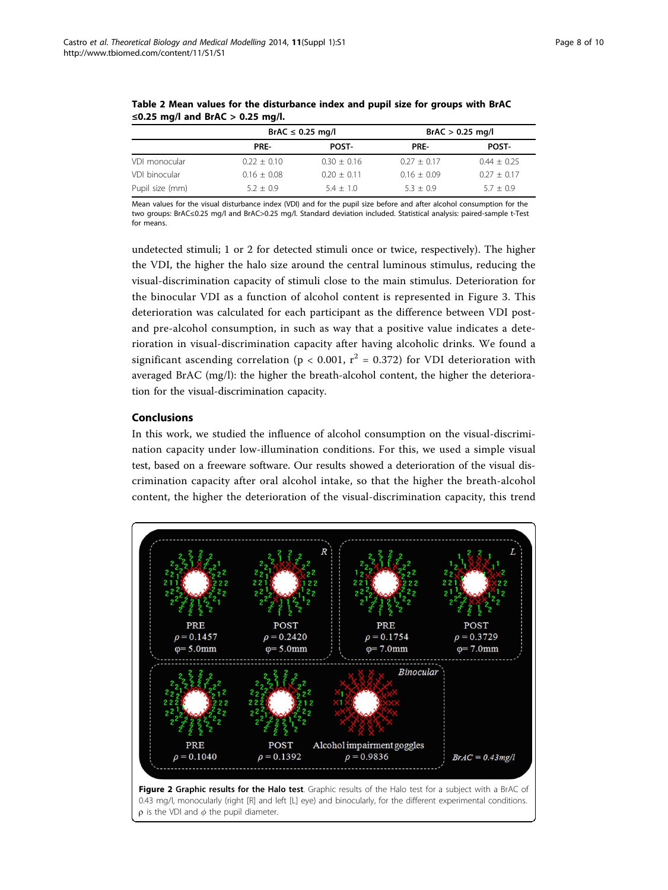|                 | $BrAC \leq 0.25$ mg/l |               | $BrAC > 0.25$ mg/l |               |
|-----------------|-----------------------|---------------|--------------------|---------------|
|                 | PRE-                  | POST-         | PRE-               | POST-         |
| VDI monocular   | $0.22 + 0.10$         | $0.30 + 0.16$ | $0.27 + 0.17$      | $0.44 + 0.25$ |
| VDI binocular   | $0.16 + 0.08$         | $0.20 + 0.11$ | $0.16 + 0.09$      | $0.27 + 0.17$ |
| Pupil size (mm) | $5.2 + 0.9$           | $5.4 + 1.0$   | $5.3 + 0.9$        | $5.7 \pm 0.9$ |

<span id="page-7-0"></span>Table 2 Mean values for the disturbance index and pupil size for groups with BrAC ≤0.25 mg/l and BrAC > 0.25 mg/l.

Mean values for the visual disturbance index (VDI) and for the pupil size before and after alcohol consumption for the two groups: BrAC≤0.25 mg/l and BrAC>0.25 mg/l. Standard deviation included. Statistical analysis: paired-sample t-Test for means.

undetected stimuli; 1 or 2 for detected stimuli once or twice, respectively). The higher the VDI, the higher the halo size around the central luminous stimulus, reducing the visual-discrimination capacity of stimuli close to the main stimulus. Deterioration for the binocular VDI as a function of alcohol content is represented in Figure [3.](#page-8-0) This deterioration was calculated for each participant as the difference between VDI postand pre-alcohol consumption, in such as way that a positive value indicates a deterioration in visual-discrimination capacity after having alcoholic drinks. We found a significant ascending correlation (p < 0.001,  $r^2$  = 0.372) for VDI deterioration with averaged BrAC (mg/l): the higher the breath-alcohol content, the higher the deterioration for the visual-discrimination capacity.

# Conclusions

In this work, we studied the influence of alcohol consumption on the visual-discrimination capacity under low-illumination conditions. For this, we used a simple visual test, based on a freeware software. Our results showed a deterioration of the visual discrimination capacity after oral alcohol intake, so that the higher the breath-alcohol content, the higher the deterioration of the visual-discrimination capacity, this trend

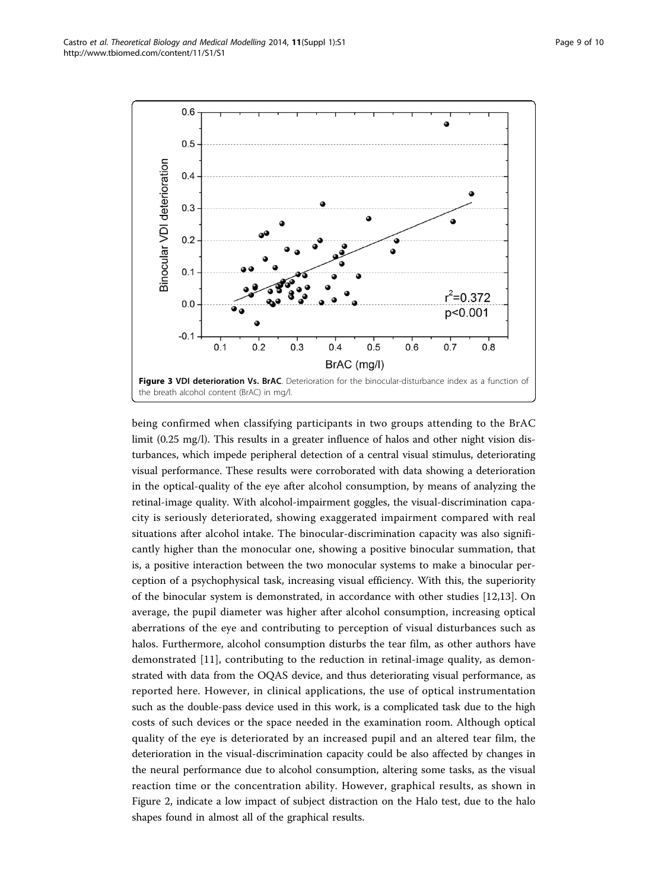<span id="page-8-0"></span>

being confirmed when classifying participants in two groups attending to the BrAC limit (0.25 mg/l). This results in a greater influence of halos and other night vision disturbances, which impede peripheral detection of a central visual stimulus, deteriorating visual performance. These results were corroborated with data showing a deterioration in the optical-quality of the eye after alcohol consumption, by means of analyzing the retinal-image quality. With alcohol-impairment goggles, the visual-discrimination capacity is seriously deteriorated, showing exaggerated impairment compared with real situations after alcohol intake. The binocular-discrimination capacity was also significantly higher than the monocular one, showing a positive binocular summation, that is, a positive interaction between the two monocular systems to make a binocular perception of a psychophysical task, increasing visual efficiency. With this, the superiority of the binocular system is demonstrated, in accordance with other studies [[12,13\]](#page-9-0). On average, the pupil diameter was higher after alcohol consumption, increasing optical aberrations of the eye and contributing to perception of visual disturbances such as halos. Furthermore, alcohol consumption disturbs the tear film, as other authors have demonstrated [[11\]](#page-9-0), contributing to the reduction in retinal-image quality, as demonstrated with data from the OQAS device, and thus deteriorating visual performance, as reported here. However, in clinical applications, the use of optical instrumentation such as the double-pass device used in this work, is a complicated task due to the high costs of such devices or the space needed in the examination room. Although optical quality of the eye is deteriorated by an increased pupil and an altered tear film, the deterioration in the visual-discrimination capacity could be also affected by changes in the neural performance due to alcohol consumption, altering some tasks, as the visual reaction time or the concentration ability. However, graphical results, as shown in Figure [2,](#page-7-0) indicate a low impact of subject distraction on the Halo test, due to the halo shapes found in almost all of the graphical results.